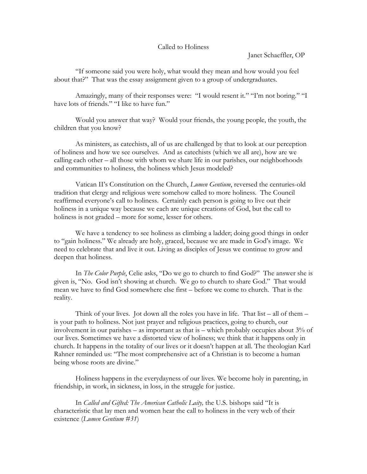## Called to Holiness

Janet Schaeffler, OP

"If someone said you were holy, what would they mean and how would you feel about that?" That was the essay assignment given to a group of undergraduates.

Amazingly, many of their responses were: "I would resent it." "I'm not boring." "I have lots of friends." "I like to have fun."

Would you answer that way? Would your friends, the young people, the youth, the children that you know?

As ministers, as catechists, all of us are challenged by that to look at our perception of holiness and how we see ourselves. And as catechists (which we all are), how are we calling each other – all those with whom we share life in our parishes, our neighborhoods and communities to holiness, the holiness which Jesus modeled?

Vatican II's Constitution on the Church, *Lumen Gentium*, reversed the centuries-old tradition that clergy and religious were somehow called to more holiness. The Council reaffirmed everyone's call to holiness. Certainly each person is going to live out their holiness in a unique way because we each are unique creations of God, but the call to holiness is not graded – more for some, lesser for others.

We have a tendency to see holiness as climbing a ladder; doing good things in order to "gain holiness." We already are holy, graced, because we are made in God's image. We need to celebrate that and live it out. Living as disciples of Jesus we continue to grow and deepen that holiness.

In *The Color Purple*, Celie asks, "Do we go to church to find God?" The answer she is given is, "No. God isn't showing at church. We go to church to share God." That would mean we have to find God somewhere else first – before we come to church. That is the reality.

Think of your lives. Jot down all the roles you have in life. That list  $-$  all of them  $$ is your path to holiness. Not just prayer and religious practices, going to church, our involvement in our parishes – as important as that is – which probably occupies about 3% of our lives. Sometimes we have a distorted view of holiness; we think that it happens only in church. It happens in the totality of our lives or it doesn't happen at all. The theologian Karl Rahner reminded us: "The most comprehensive act of a Christian is to become a human being whose roots are divine."

Holiness happens in the everydayness of our lives. We become holy in parenting, in friendship, in work, in sickness, in loss, in the struggle for justice.

In *Called and Gifted: The American Catholic Laity,* the U.S. bishops said "It is characteristic that lay men and women hear the call to holiness in the very web of their existence (*Lumen Gentium #31*)